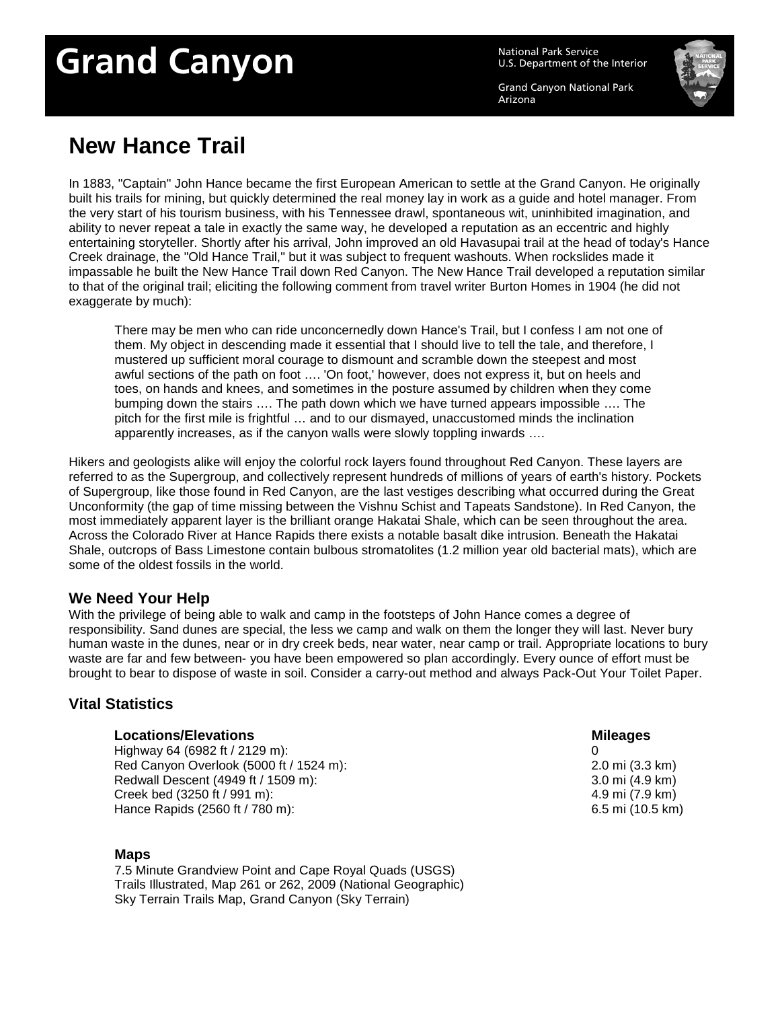# Grand Canyon<br>U.S. Department of the

U.S. Department of the Interior

Grand Canyon National Park Arizona



## **New Hance Trail**

In 1883, "Captain" John Hance became the first European American to settle at the Grand Canyon. He originally built his trails for mining, but quickly determined the real money lay in work as a guide and hotel manager. From the very start of his tourism business, with his Tennessee drawl, spontaneous wit, uninhibited imagination, and ability to never repeat a tale in exactly the same way, he developed a reputation as an eccentric and highly entertaining storyteller. Shortly after his arrival, John improved an old Havasupai trail at the head of today's Hance Creek drainage, the "Old Hance Trail," but it was subject to frequent washouts. When rockslides made it impassable he built the New Hance Trail down Red Canyon. The New Hance Trail developed a reputation similar to that of the original trail; eliciting the following comment from travel writer Burton Homes in 1904 (he did not exaggerate by much):

There may be men who can ride unconcernedly down Hance's Trail, but I confess I am not one of them. My object in descending made it essential that I should live to tell the tale, and therefore, I mustered up sufficient moral courage to dismount and scramble down the steepest and most awful sections of the path on foot …. 'On foot,' however, does not express it, but on heels and toes, on hands and knees, and sometimes in the posture assumed by children when they come bumping down the stairs …. The path down which we have turned appears impossible …. The pitch for the first mile is frightful … and to our dismayed, unaccustomed minds the inclination apparently increases, as if the canyon walls were slowly toppling inwards ….

Hikers and geologists alike will enjoy the colorful rock layers found throughout Red Canyon. These layers are referred to as the Supergroup, and collectively represent hundreds of millions of years of earth's history. Pockets of Supergroup, like those found in Red Canyon, are the last vestiges describing what occurred during the Great Unconformity (the gap of time missing between the Vishnu Schist and Tapeats Sandstone). In Red Canyon, the most immediately apparent layer is the brilliant orange Hakatai Shale, which can be seen throughout the area. Across the Colorado River at Hance Rapids there exists a notable basalt dike intrusion. Beneath the Hakatai Shale, outcrops of Bass Limestone contain bulbous stromatolites (1.2 million year old bacterial mats), which are some of the oldest fossils in the world.

### **We Need Your Help**

With the privilege of being able to walk and camp in the footsteps of John Hance comes a degree of responsibility. Sand dunes are special, the less we camp and walk on them the longer they will last. Never bury human waste in the dunes, near or in dry creek beds, near water, near camp or trail. Appropriate locations to bury waste are far and few between- you have been empowered so plan accordingly. Every ounce of effort must be brought to bear to dispose of waste in soil. Consider a carry-out method and always Pack-Out Your Toilet Paper.

### **Vital Statistics**

### **Locations/Elevations Mileages**

Highway 64 (6982 ft / 2129 m): Red Canyon Overlook (5000 ft / 1524 m): Redwall Descent (4949 ft / 1509 m): Creek bed (3250 ft / 991 m): Hance Rapids (2560 ft / 780 m):

### **Maps**

7.5 Minute Grandview Point and Cape Royal Quads (USGS) Trails Illustrated, Map 261 or 262, 2009 (National Geographic) Sky Terrain Trails Map, Grand Canyon (Sky Terrain)

 $\Omega$ 2.0 mi (3.3 km) 3.0 mi (4.9 km) 4.9 mi (7.9 km) 6.5 mi (10.5 km)